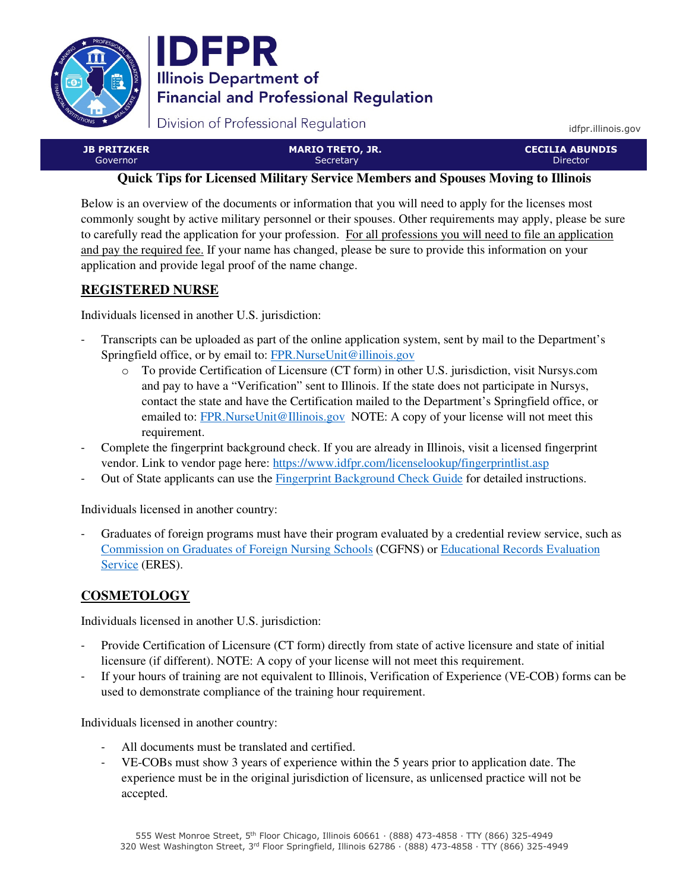

# IDFPR **Illinois Department of Financial and Professional Regulation**

Division of Professional Regulation

idfpr.illinois.gov

| . JB PRITZKER ' | <b>MARIO TRETO, JR.</b> | <b>CECILIA ABUNDIS</b> |
|-----------------|-------------------------|------------------------|
| Governor        | Secretary               | Director               |
|                 |                         |                        |

#### **Quick Tips for Licensed Military Service Members and Spouses Moving to Illinois**

Below is an overview of the documents or information that you will need to apply for the licenses most commonly sought by active military personnel or their spouses. Other requirements may apply, please be sure to carefully read the application for your profession. For all professions you will need to file an application and pay the required fee. If your name has changed, please be sure to provide this information on your application and provide legal proof of the name change.

### **REGISTERED NURSE**

Individuals licensed in another U.S. jurisdiction:

- Transcripts can be uploaded as part of the online application system, sent by mail to the Department's Springfield office, or by email to: FPR.NurseUnit@illinois.gov
	- o To provide Certification of Licensure (CT form) in other U.S. jurisdiction, visit Nursys.com and pay to have a "Verification" sent to Illinois. If the state does not participate in Nursys, contact the state and have the Certification mailed to the Department's Springfield office, or emailed to: FPR.NurseUnit@Illinois.gov NOTE: A copy of your license will not meet this requirement.
- Complete the fingerprint background check. If you are already in Illinois, visit a licensed fingerprint vendor. Link to vendor page here: https://www.idfpr.com/licenselookup/fingerprintlist.asp
- Out of State applicants can use the Fingerprint Background Check Guide for detailed instructions.

Individuals licensed in another country:

- Graduates of foreign programs must have their program evaluated by a credential review service, such as Commission on Graduates of Foreign Nursing Schools (CGFNS) or Educational Records Evaluation Service (ERES).

## **COSMETOLOGY**

Individuals licensed in another U.S. jurisdiction:

- Provide Certification of Licensure (CT form) directly from state of active licensure and state of initial licensure (if different). NOTE: A copy of your license will not meet this requirement.
- If your hours of training are not equivalent to Illinois, Verification of Experience (VE-COB) forms can be used to demonstrate compliance of the training hour requirement.

Individuals licensed in another country:

- All documents must be translated and certified.
- VE-COBs must show 3 years of experience within the 5 years prior to application date. The experience must be in the original jurisdiction of licensure, as unlicensed practice will not be accepted.